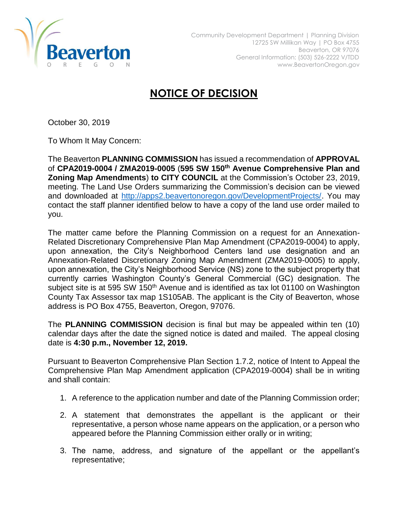

## **NOTICE OF DECISION**

October 30, 2019

To Whom It May Concern:

The Beaverton **PLANNING COMMISSION** has issued a recommendation of **APPROVAL** of **CPA2019-0004 / ZMA2019-0005** (**595 SW 150th Avenue Comprehensive Plan and Zoning Map Amendments**) **to CITY COUNCIL** at the Commission's October 23, 2019, meeting. The Land Use Orders summarizing the Commission's decision can be viewed and downloaded at [http://apps2.beavertonoregon.gov/DevelopmentProjects/.](http://apps2.beavertonoregon.gov/DevelopmentProjects/) You may contact the staff planner identified below to have a copy of the land use order mailed to you.

The matter came before the Planning Commission on a request for an Annexation-Related Discretionary Comprehensive Plan Map Amendment (CPA2019-0004) to apply, upon annexation, the City's Neighborhood Centers land use designation and an Annexation-Related Discretionary Zoning Map Amendment (ZMA2019-0005) to apply, upon annexation, the City's Neighborhood Service (NS) zone to the subject property that currently carries Washington County's General Commercial (GC) designation. The subject site is at 595 SW 150<sup>th</sup> Avenue and is identified as tax lot 01100 on Washington County Tax Assessor tax map 1S105AB. The applicant is the City of Beaverton, whose address is PO Box 4755, Beaverton, Oregon, 97076.

The **PLANNING COMMISSION** decision is final but may be appealed within ten (10) calendar days after the date the signed notice is dated and mailed. The appeal closing date is **4:30 p.m., November 12, 2019.**

Pursuant to Beaverton Comprehensive Plan Section 1.7.2, notice of Intent to Appeal the Comprehensive Plan Map Amendment application (CPA2019-0004) shall be in writing and shall contain:

- 1. A reference to the application number and date of the Planning Commission order;
- 2. A statement that demonstrates the appellant is the applicant or their representative, a person whose name appears on the application, or a person who appeared before the Planning Commission either orally or in writing;
- 3. The name, address, and signature of the appellant or the appellant's representative;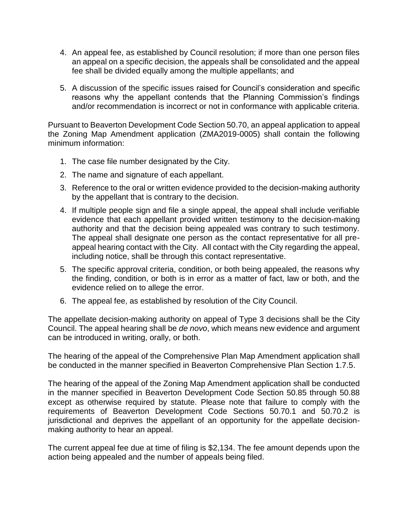- 4. An appeal fee, as established by Council resolution; if more than one person files an appeal on a specific decision, the appeals shall be consolidated and the appeal fee shall be divided equally among the multiple appellants; and
- 5. A discussion of the specific issues raised for Council's consideration and specific reasons why the appellant contends that the Planning Commission's findings and/or recommendation is incorrect or not in conformance with applicable criteria.

Pursuant to Beaverton Development Code Section 50.70, an appeal application to appeal the Zoning Map Amendment application (ZMA2019-0005) shall contain the following minimum information:

- 1. The case file number designated by the City.
- 2. The name and signature of each appellant.
- 3. Reference to the oral or written evidence provided to the decision-making authority by the appellant that is contrary to the decision.
- 4. If multiple people sign and file a single appeal, the appeal shall include verifiable evidence that each appellant provided written testimony to the decision-making authority and that the decision being appealed was contrary to such testimony. The appeal shall designate one person as the contact representative for all preappeal hearing contact with the City. All contact with the City regarding the appeal, including notice, shall be through this contact representative.
- 5. The specific approval criteria, condition, or both being appealed, the reasons why the finding, condition, or both is in error as a matter of fact, law or both, and the evidence relied on to allege the error.
- 6. The appeal fee, as established by resolution of the City Council.

The appellate decision-making authority on appeal of Type 3 decisions shall be the City Council. The appeal hearing shall be *de novo*, which means new evidence and argument can be introduced in writing, orally, or both.

The hearing of the appeal of the Comprehensive Plan Map Amendment application shall be conducted in the manner specified in Beaverton Comprehensive Plan Section 1.7.5.

The hearing of the appeal of the Zoning Map Amendment application shall be conducted in the manner specified in Beaverton Development Code Section 50.85 through 50.88 except as otherwise required by statute. Please note that failure to comply with the requirements of Beaverton Development Code Sections 50.70.1 and 50.70.2 is jurisdictional and deprives the appellant of an opportunity for the appellate decisionmaking authority to hear an appeal.

The current appeal fee due at time of filing is \$2,134. The fee amount depends upon the action being appealed and the number of appeals being filed.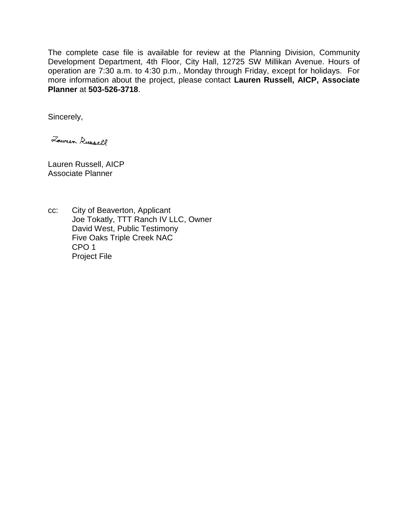The complete case file is available for review at the Planning Division, Community Development Department, 4th Floor, City Hall, 12725 SW Millikan Avenue. Hours of operation are 7:30 a.m. to 4:30 p.m., Monday through Friday, except for holidays. For more information about the project, please contact **Lauren Russell, AICP, Associate Planner** at **503-526-3718**.

Sincerely,

Lowren Russell

Lauren Russell, AICP Associate Planner

cc: City of Beaverton, Applicant Joe Tokatly, TTT Ranch IV LLC, Owner David West, Public Testimony Five Oaks Triple Creek NAC CPO 1 Project File